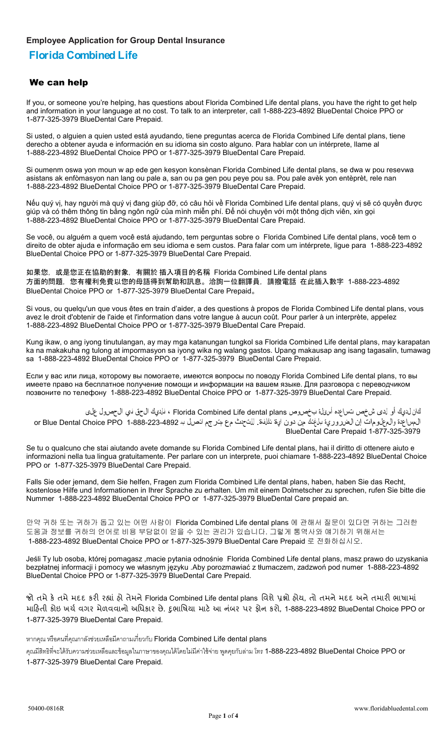#### **Employee Application for Group Dental Insurance**

# **Florida Combined Life**

#### We can help

If you, or someone you're helping, has questions about Florida Combined Life dental plans, you have the right to get help and information in your language at no cost. To talk to an interpreter, call 1-888-223-4892 BlueDental Choice PPO or 1-877-325-3979 BlueDental Care Prepaid.

Si usted, o alguien a quien usted está ayudando, tiene preguntas acerca de Florida Combined Life dental plans, tiene derecho a obtener ayuda e información en su idioma sin costo alguno. Para hablar con un intérprete, llame al 1-888-223-4892 BlueDental Choice PPO or 1-877-325-3979 BlueDental Care Prepaid.

Si oumenm oswa yon moun w ap ede gen kesyon konsènan Florida Combined Life dental plans, se dwa w pou resevwa asistans ak enfòmasyon nan lang ou pale a, san ou pa gen pou peye pou sa. Pou pale avèk yon entèprèt, rele nan 1-888-223-4892 BlueDental Choice PPO or 1-877-325-3979 BlueDental Care Prepaid.

Nếu quý vị, hay người mà quý vị đang giúp đỡ, có câu hỏi về Florida Combined Life dental plans, quý vị sẽ có quyền được giúp và có thêm thông tin bằng ngôn ngữ của mình miễn phí. Để nói chuyện với một thông dịch viên, xin gọi 1-888-223-4892 BlueDental Choice PPO or 1-877-325-3979 BlueDental Care Prepaid.

Se você, ou alguém a quem você está ajudando, tem perguntas sobre o Florida Combined Life dental plans, você tem o direito de obter ajuda e informação em seu idioma e sem custos. Para falar com um intérprete, ligue para 1-888-223-4892 BlueDental Choice PPO or 1-877-325-3979 BlueDental Care Prepaid.

如果您,或是您正在協助的對象,有關於 插入項目的名稱 Florida Combined Life dental plans 方面的問題,您有權利免費以您的母語得到幫助和訊息。洽詢一位翻譯員,請撥電話 在此插入數字 1-888-223-4892 BlueDental Choice PPO or 1-877-325-3979 BlueDental Care Prepaid。

Si vous, ou quelqu'un que vous êtes en train d'aider, a des questions à propos de Florida Combined Life dental plans, vous avez le droit d'obtenir de l'aide et l'information dans votre langue à aucun coût. Pour parler à un interprète, appelez 1-888-223-4892 BlueDental Choice PPO or 1-877-325-3979 BlueDental Care Prepaid.

Kung ikaw, o ang iyong tinutulangan, ay may mga katanungan tungkol sa Florida Combined Life dental plans, may karapatan ka na makakuha ng tulong at impormasyon sa iyong wika ng walang gastos. Upang makausap ang isang tagasalin, tumawag sa 1-888-223-4892 BlueDental Choice PPO or 1-877-325-3979 BlueDental Care Prepaid.

Если у вас или лица, которому вы помогаете, имеются вопросы по поводу Florida Combined Life dental plans, то вы имеете право на бесплатное получение помощи и информации на вашем языке. Для разговора с переводчиком позвоните по телефону 1-888-223-4892 BlueDental Choice PPO or 1-877-325-3979 BlueDental Care Prepaid.

كان لديك أو لدى شخص تساعده أسئلة بخصوص plans dental Life Combined Florida ، فلديك الحق في الحصول على المساعدة والمعلومات إن الضرورية بلغتك من دون اية تكلفة. للتحدث مع مترجم اتصل بـ 1-888-223-4892 PPO Choice Dental Blue or BlueDental Care Prepaid 1-877-325-3979

Se tu o qualcuno che stai aiutando avete domande su Florida Combined Life dental plans, hai il diritto di ottenere aiuto e informazioni nella tua lingua gratuitamente. Per parlare con un interprete, puoi chiamare 1-888-223-4892 BlueDental Choice PPO or 1-877-325-3979 BlueDental Care Prepaid.

Falls Sie oder jemand, dem Sie helfen, Fragen zum Florida Combined Life dental plans, haben, haben Sie das Recht, kostenlose Hilfe und Informationen in Ihrer Sprache zu erhalten. Um mit einem Dolmetscher zu sprechen, rufen Sie bitte die Nummer 1-888-223-4892 BlueDental Choice PPO or 1-877-325-3979 BlueDental Care prepaid an.

만약 귀하 또는 귀하가 돕고 있는 어떤 사람이 Florida Combined Life dental plans 에 관해서 질문이 있다면 귀하는 그러한 도움과 정보를 귀하의 언어로 비용 부담없이 얻을 수 있는 권리가 있습니다. 그렇게 통역사와 얘기하기 위해서는 1-888-223-4892 BlueDental Choice PPO or 1-877-325-3979 BlueDental Care Prepaid 로 전화하십시오.

Jeśli Ty lub osoba, której pomagasz ,macie pytania odnośnie Florida Combined Life dental plans, masz prawo do uzyskania bezpłatnej informacji i pomocy we własnym języku .Aby porozmawiać z tłumaczem, zadzwoń pod numer 1-888-223-4892 BlueDental Choice PPO or 1-877-325-3979 BlueDental Care Prepaid.

જો તમે કે તમે મદદ કરી રહ્યાં હો તેમને Florida Combined Life dental plans વિશે પ્રશ્નો હોય, તો તમને મદદ અને તમારી ભાષામાં માહિતી કોઇ ખર્ચ વગર મેળવવાનો અધિકાર છે. દૃભાષિયા માટે આ નંબર પર ફોન કરો, 1-888-223-4892 BlueDental Choice PPO or 1-877-325-3979 BlueDental Care Prepaid.

หากคุณ หรือคนที่คุณกาลังช่วยเหลือมีคาถามเกี่ยวกับ Florida Combined Life dental plans

คุณมีสิทธิที่จะได้รับความช่วยเหลือและข้อมูลในภาษาของคุณได้โดยไม่มีค่าใช้จ่าย พูดคุยกับล่าม โทร 1-888-223-4892 BlueDental Choice PPO or 1-877-325-3979 BlueDental Care Prepaid.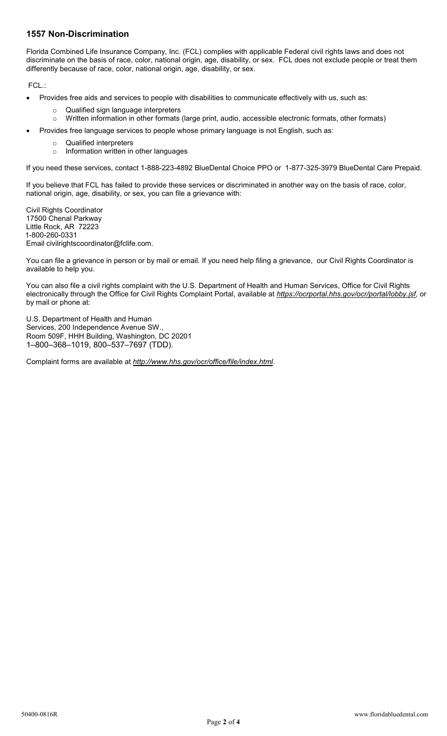## **1557 Non-Discrimination**

Florida Combined Life Insurance Company, Inc. (FCL) complies with applicable Federal civil rights laws and does not discriminate on the basis of race, color, national origin, age, disability, or sex. FCL does not exclude people or treat them differently because of race, color, national origin, age, disability, or sex.

FCL.:

- Provides free aids and services to people with disabilities to communicate effectively with us, such as:
	- o Qualified sign language interpreters
	- o Written information in other formats (large print, audio, accessible electronic formats, other formats)
- Provides free language services to people whose primary language is not English, such as:
	- o Qualified interpreters
	- o Information written in other languages

If you need these services, contact 1-888-223-4892 BlueDental Choice PPO or 1-877-325-3979 BlueDental Care Prepaid.

If you believe that FCL has failed to provide these services or discriminated in another way on the basis of race, color, national origin, age, disability, or sex, you can file a grievance with:

Civil Rights Coordinator 17500 Chenal Parkway Little Rock, AR 72223 1-800-260-0331 Email civilrightscoordinator@fclife.com.

You can file a grievance in person or by mail or email. If you need help filing a grievance, our Civil Rights Coordinator is available to help you.

You can also file a civil rights complaint with the U.S. Department of Health and Human Services, Office for Civil Rights electronically through the Office for Civil Rights Complaint Portal, available at *[https://ocrportal.hhs.gov/ocr/portal/lobby.jsf,](https://ocrportal.hhs.gov/ocr/portal/lobby.jsf)* or by mail or phone at:

U.S. Department of Health and Human Services, 200 Independence Avenue SW., Room 509F, HHH Building, Washington, DC 20201 1–800–368–1019, 800–537–7697 (TDD).

Complaint forms are available at *[http://www.hhs.gov/ocr/office/file/index.html.](http://www.hhs.gov/ocr/office/file/index.html)*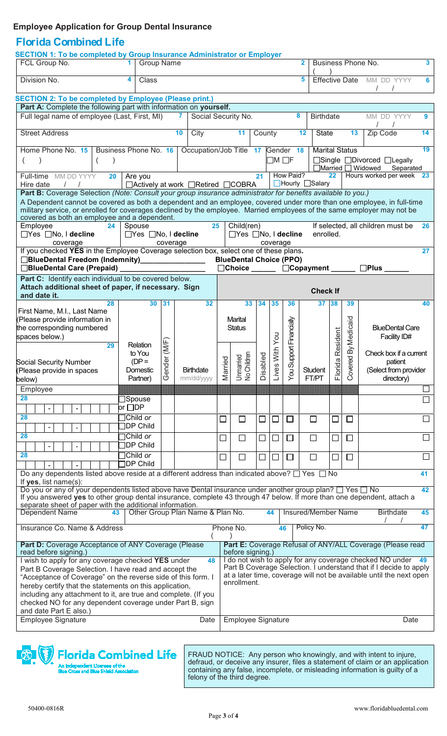## **Employee Application for Group Dental Insurance**

## **Florida Combined Life**

| <b>SECTION 1: To be completed by Group Insurance Administrator or Employer</b>                                                                                                                                                                                                                   |                                        |             |                                      |                   |                                      |         |              |                     |                             |                                                               |                       |                                                                                                                                  |        |  |
|--------------------------------------------------------------------------------------------------------------------------------------------------------------------------------------------------------------------------------------------------------------------------------------------------|----------------------------------------|-------------|--------------------------------------|-------------------|--------------------------------------|---------|--------------|---------------------|-----------------------------|---------------------------------------------------------------|-----------------------|----------------------------------------------------------------------------------------------------------------------------------|--------|--|
| FCL Group No.                                                                                                                                                                                                                                                                                    | <b>Group Name</b><br>1.                |             |                                      |                   | $\overline{2}$                       |         |              |                     |                             | 3<br>Business Phone No.                                       |                       |                                                                                                                                  |        |  |
| Division No.                                                                                                                                                                                                                                                                                     | 4<br>Class                             |             |                                      |                   |                                      |         |              |                     | 5                           |                                                               |                       | Effective Date MM DD YYYY<br>$\prime$                                                                                            | 6      |  |
| <b>SECTION 2: To be completed by Employee (Please print.)</b>                                                                                                                                                                                                                                    |                                        |             |                                      |                   |                                      |         |              |                     |                             |                                                               |                       |                                                                                                                                  |        |  |
| Part A: Complete the following part with information on yourself.<br>Full legal name of employee (Last, First, MI)<br>7<br>Social Security No.                                                                                                                                                   |                                        |             |                                      |                   |                                      |         |              | 8                   | <b>Birthdate</b>            |                                                               |                       | MM DD YYYY                                                                                                                       | 9      |  |
| <b>Street Address</b>                                                                                                                                                                                                                                                                            |                                        |             | 10<br>City                           |                   | 11                                   | County  |              |                     | 12<br><b>State</b>          |                                                               | 13                    | Zip Code                                                                                                                         | 14     |  |
| Home Phone No. 15                                                                                                                                                                                                                                                                                | Business Phone No. 16                  |             | Occupation/Job Title 17              |                   |                                      |         |              | Gender 18           |                             |                                                               | <b>Marital Status</b> |                                                                                                                                  | 19     |  |
|                                                                                                                                                                                                                                                                                                  |                                        |             |                                      | $\Box$ M $\Box$ F |                                      |         |              |                     |                             | □Single □Divorced □Legally<br>□Married □ Widowed<br>Separated |                       |                                                                                                                                  |        |  |
| Full-time MM DD YYYY<br>20                                                                                                                                                                                                                                                                       | Are you                                |             |                                      |                   |                                      | 21      |              | How Paid?           | $\Box$ Hourly $\Box$ Salary | 22                                                            |                       | Hours worked per week 23                                                                                                         |        |  |
| Hire date<br>$\frac{1}{2}$<br>Part B: Coverage Selection (Note: Consult your group insurance administrator for benefits available to you.)                                                                                                                                                       |                                        |             | □ Actively at work □ Retired □ COBRA |                   |                                      |         |              |                     |                             |                                                               |                       |                                                                                                                                  |        |  |
| A Dependent cannot be covered as both a dependent and an employee, covered under more than one employee, in full-time<br>military service, or enrolled for coverages declined by the employee. Married employees of the same employer may not be<br>covered as both an employee and a dependent. |                                        |             |                                      |                   |                                      |         |              |                     |                             |                                                               |                       |                                                                                                                                  |        |  |
| Employee<br>Spouse<br>25<br>24<br>□Yes □No, I decline                                                                                                                                                                                                                                            |                                        |             |                                      |                   | Child(ren)<br>□Yes □No, I decline    |         |              |                     |                             | If selected, all children must be<br>26<br>enrolled.          |                       |                                                                                                                                  |        |  |
| $\Box$ Yes $\Box$ No, I decline<br>coverage                                                                                                                                                                                                                                                      |                                        |             |                                      | coverage          |                                      |         |              |                     |                             |                                                               |                       |                                                                                                                                  |        |  |
| If you checked YES in the Employee Coverage selection box, select one of these plans.<br>□BlueDental Freedom (Indemnity)<br>□BlueDental Freedom (Indemnity)                                                                                                                                      |                                        | coverage    |                                      |                   | <b>BlueDental Choice (PPO)</b>       |         |              |                     |                             |                                                               |                       |                                                                                                                                  | 27     |  |
| □BlueDental Care (Prepaid)                                                                                                                                                                                                                                                                       |                                        |             |                                      |                   | $\Box$ Choice $\Box$                 |         |              |                     | $\Box$ Copayment $\_\_$     |                                                               |                       | $\Box$ Plus                                                                                                                      |        |  |
| Part C: Identify each individual to be covered below.                                                                                                                                                                                                                                            |                                        |             |                                      |                   |                                      |         |              |                     |                             |                                                               |                       |                                                                                                                                  |        |  |
| Attach additional sheet of paper, if necessary. Sign<br>and date it.                                                                                                                                                                                                                             |                                        |             |                                      |                   |                                      |         |              |                     | <b>Check If</b>             |                                                               |                       |                                                                                                                                  |        |  |
| 28                                                                                                                                                                                                                                                                                               | 30                                     | 31          | 32                                   |                   | 33                                   | 34      | 35           | 36                  | 37                          | 38                                                            | 39                    |                                                                                                                                  | 40     |  |
| First Name, M.I., Last Name<br>(Please provide information in                                                                                                                                                                                                                                    |                                        |             |                                      |                   | Marital                              |         |              |                     |                             |                                                               |                       |                                                                                                                                  |        |  |
| the corresponding numbered                                                                                                                                                                                                                                                                       |                                        |             |                                      |                   | <b>Status</b>                        |         |              | Support Financially |                             |                                                               | By Medicaid           | <b>BlueDental Care</b>                                                                                                           |        |  |
| spaces below.)<br>29                                                                                                                                                                                                                                                                             | Relation                               |             |                                      |                   |                                      |         | ves With You |                     |                             | orida Resident                                                |                       | Facility ID#                                                                                                                     |        |  |
|                                                                                                                                                                                                                                                                                                  | to You<br>$(DP =$                      |             |                                      |                   |                                      |         |              |                     |                             |                                                               |                       | Check box if a current                                                                                                           |        |  |
| <b>Social Security Number</b><br>(Please provide in spaces                                                                                                                                                                                                                                       | Domestic                               | ender (M/F) | <b>Birthdate</b>                     | arried            | Children<br>Unmarried<br>No Children | isabled |              | You?                | Student                     |                                                               | overed                | patient<br>(Select from provider                                                                                                 |        |  |
| below)                                                                                                                                                                                                                                                                                           | Partner)                               | Ō           | mm/dd/yyyy                           | Ξ                 |                                      | $\Box$  | Ê            |                     | FT/PT                       | 匸                                                             | Ō                     | directory)                                                                                                                       |        |  |
| Employee<br>28                                                                                                                                                                                                                                                                                   | ∃Spouse                                |             |                                      |                   |                                      |         |              |                     |                             |                                                               |                       |                                                                                                                                  | П      |  |
|                                                                                                                                                                                                                                                                                                  | or $\Box$ DP                           |             |                                      |                   |                                      |         |              |                     |                             |                                                               |                       |                                                                                                                                  |        |  |
| 28                                                                                                                                                                                                                                                                                               | $\exists$ Child or                     |             |                                      | $\Box$            | $\Box$                               | $\Box$  | $\Box$       | $\Box$              | $\Box$                      | $\Box$                                                        | $\Box$                |                                                                                                                                  | $\Box$ |  |
| 28                                                                                                                                                                                                                                                                                               | <b>JDP Child</b><br>$\exists$ Child or |             |                                      | $\Box$            | $\Box$                               |         | $\Box$       | $\Box$              | $\Box$                      |                                                               | $\Box$                |                                                                                                                                  |        |  |
|                                                                                                                                                                                                                                                                                                  | <b>JDP Child</b>                       |             |                                      |                   |                                      | ⊔       |              |                     |                             | $\mathcal{L}_{\mathcal{A}}$                                   |                       |                                                                                                                                  |        |  |
| 28                                                                                                                                                                                                                                                                                               | $\exists$ Child or<br><b>TDP Child</b> |             |                                      | □                 | $\Box$                               | ⊔       | $\Box$       | $\Box$              | П                           | $\mathcal{L}$                                                 | $\Box$                |                                                                                                                                  |        |  |
| Do any dependents listed above reside at a different address than indicated above? $\square$ Yes $\square$ No                                                                                                                                                                                    |                                        |             |                                      |                   |                                      |         |              |                     |                             |                                                               |                       |                                                                                                                                  | 41     |  |
| If yes, list name(s):<br>Do you or any of your dependents listed above have Dental insurance under another group plan? □ Yes □ No<br>42                                                                                                                                                          |                                        |             |                                      |                   |                                      |         |              |                     |                             |                                                               |                       |                                                                                                                                  |        |  |
| If you answered yes to other group dental insurance, complete 43 through 47 below. If more than one dependent, attach a<br>separate sheet of paper with the additional information.                                                                                                              |                                        |             |                                      |                   |                                      |         |              |                     |                             |                                                               |                       |                                                                                                                                  |        |  |
| Dependent Name<br>43                                                                                                                                                                                                                                                                             |                                        |             | Other Group Plan Name & Plan No.     |                   |                                      |         | 44           |                     | Insured/Member Name         |                                                               |                       | <b>Birthdate</b>                                                                                                                 | 45     |  |
| Insurance Co. Name & Address                                                                                                                                                                                                                                                                     |                                        |             |                                      |                   | Phone No.                            |         |              | 46                  | Policy No.                  |                                                               |                       |                                                                                                                                  | 47     |  |
|                                                                                                                                                                                                                                                                                                  |                                        |             |                                      |                   |                                      |         |              |                     |                             |                                                               |                       |                                                                                                                                  |        |  |
| Part D: Coverage Acceptance of ANY Coverage (Please<br>read before signing.)                                                                                                                                                                                                                     |                                        |             |                                      |                   | before signing.)                     |         |              |                     |                             |                                                               |                       | Part E: Coverage Refusal of ANY/ALL Coverage (Please read                                                                        |        |  |
| I wish to apply for any coverage checked YES under                                                                                                                                                                                                                                               |                                        |             | 48                                   |                   |                                      |         |              |                     |                             |                                                               |                       | I do not wish to apply for any coverage checked NO under 49<br>Part B Coverage Selection. I understand that if I decide to apply |        |  |
| Part B Coverage Selection. I have read and accept the<br>"Acceptance of Coverage" on the reverse side of this form. I                                                                                                                                                                            |                                        |             |                                      |                   |                                      |         |              |                     |                             |                                                               |                       | at a later time, coverage will not be available until the next open                                                              |        |  |
| enrollment.<br>hereby certify that the statements on this application,                                                                                                                                                                                                                           |                                        |             |                                      |                   |                                      |         |              |                     |                             |                                                               |                       |                                                                                                                                  |        |  |
|                                                                                                                                                                                                                                                                                                  |                                        |             |                                      |                   |                                      |         |              |                     |                             |                                                               |                       |                                                                                                                                  |        |  |
| including any attachment to it, are true and complete. (If you<br>checked NO for any dependent coverage under Part B, sign                                                                                                                                                                       |                                        |             |                                      |                   |                                      |         |              |                     |                             |                                                               |                       |                                                                                                                                  |        |  |
| and date Part E also.)<br>Employee Signature                                                                                                                                                                                                                                                     |                                        |             | Date                                 |                   | <b>Employee Signature</b>            |         |              |                     |                             |                                                               |                       | Date                                                                                                                             |        |  |

# **Florida Combined Life**

nt Licensee of the<br>I Blue Shield Assoc An Independent<br>Blue Cross and I

FRAUD NOTICE: Any person who knowingly, and with intent to injure, defraud, or deceive any insurer, files a statement of claim or an application containing any false, incomplete, or misleading information is guilty of a felony of the third degree.

 $\sqrt{\frac{2}{3}}$